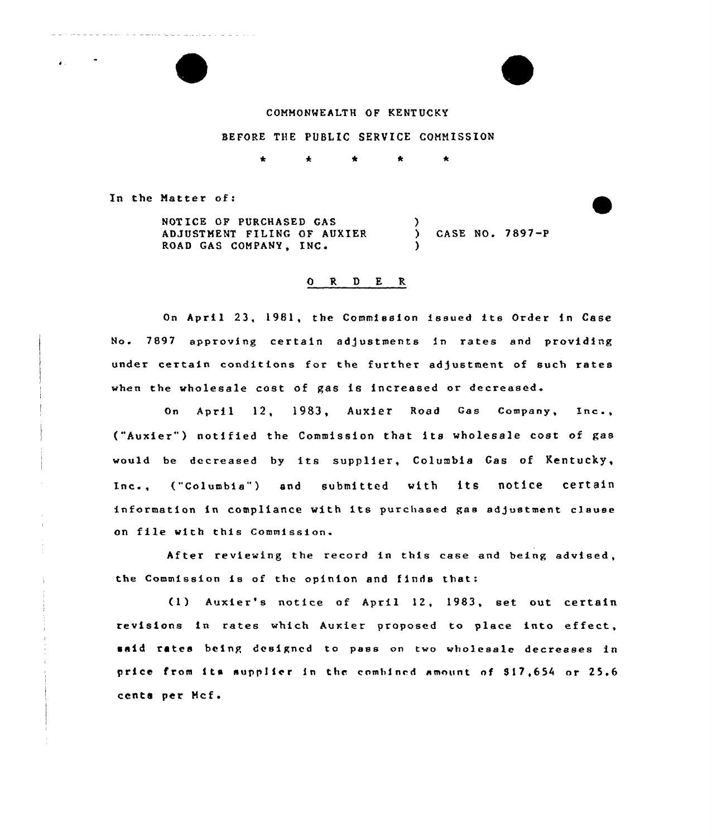## CONHONMEALTH OF KENTUCKY

## BEFORE THE PUBLIC SERVICE COHNISSION

 $\clubsuit$  $\Delta$  $\bullet$  $\Delta$ 

In the Natter of:

NOTICE OF PURCHASED GAS ADJUSTNENT FILING OF AUXIER ROAD GAS COMPANY, INC. )  $\overline{)}$  CASE NO. 7897-P )

## 0 R <sup>D</sup> E R

On April 23, 1981, the Commission issued its Order in Case No. 7897 approving certain adjustments in rates and providing under certain conditions for the further ad/ustment of such rates when the wholesale cost of gas is increased or decreased

On April 12, 1983, AuXier Road Gas Company, Inc., ("Auxier") notified the Commission that its wholesale cost of gas would be decreased by its supplier, Columbia Gas of Kentucky, Inc., ("Columbia") and submitted with its notice certain information in compliance with its purchased gas adjustment clause on file with this Commission.

After reviewing the record in this case and being advised, the Commission is of the opinion and finds that:

(1) Auxier's notice of April 12, 1983, set out certain revisions in rates which Auxier proposed to place into effect, said rates being designed to pass on two wholesale decreases in price from its supp1ier in the combined amount nf 917,654 or 25.6 cents per Mcf.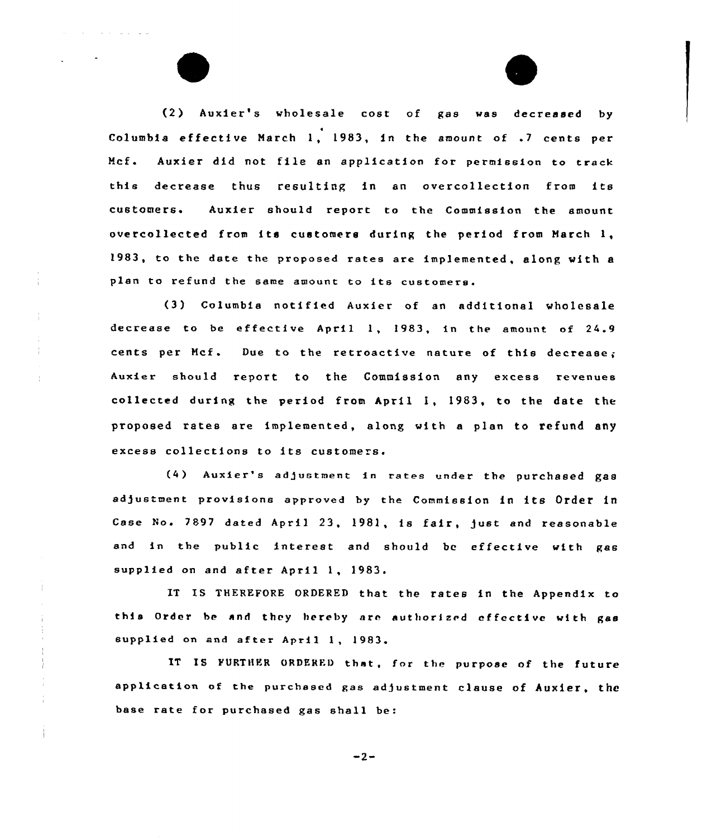(2) Auxier's wholesale cost of gas was decreased by Columbia effective March 1, 1983, in the amount of .7 cents per Mcf. Auxier did not file an application for permission to track this decrease thus resulting in an overcollection from its customers. Auxier should report to the Commission the amount overcollected from its customers during the period from March 1, 1983, to the date the proposed rates are implemented, along with <sup>a</sup> plan to refund the same amount to its customers.

 $\mathcal{A}(\mathcal{A})$  , and  $\mathcal{A}(\mathcal{A})$  are  $\mathcal{A}(\mathcal{A})$  , and  $\mathcal{A}(\mathcal{A})$ 

÷.

t

(3) Columbia notified Auxier of an additional wholesale decrease to be effective April 1, 1983, in the amount of  $24.9$ cents per Mcf. Due to the retroactive nature of this decrease; Auxier should report to the Commission any excess revenues collected during the period from April 1, 1983, to the date the proposed rates are implemented, along with a plan to refund any excess collections to its customers.

(4) Auxier's adjustment in rates under the purchased gas adjustment provisions approved by the Commission in its Order in Case No. 7897 dated April 23, 1981, is fair, )ust and reasonable and in the public interest and should be effective with gas supplied on and after April 1, 1983.

IT IS THEREFORE ORDERED that the rates in the Appendix to this Order be and they hereby are authorized effective with gas supplied on and after April 1, 1983.

IT IS FURTHER ORDERED that, for the purpose of the future application of the purchased gas adjustment clause of Auxier, the base rate for purchased gas shall be:

 $-2-$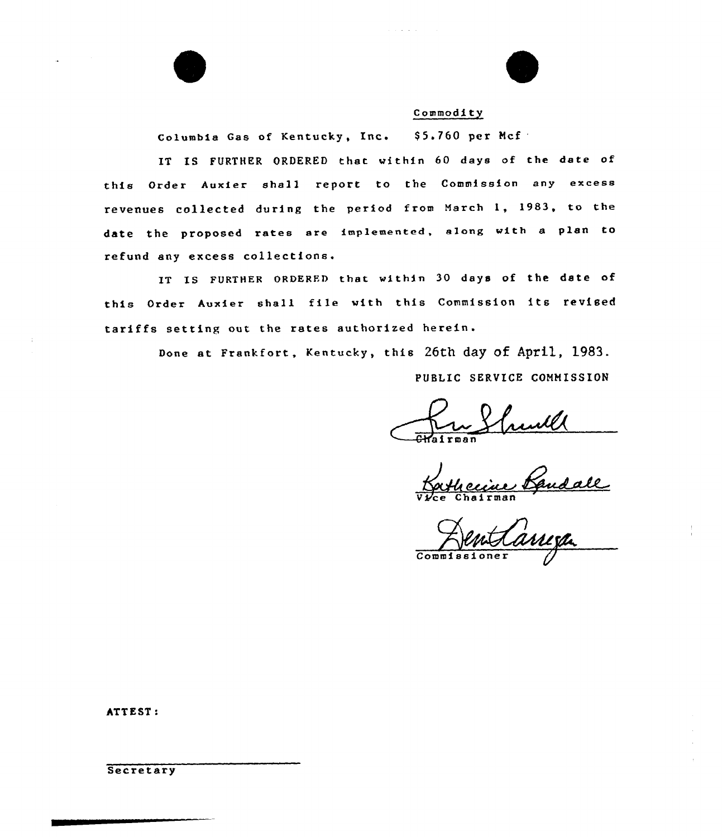

Columbia Gas of Kentucky, Inc. \$5.760 per Mcf

IT IS FURTHER ORDERED that within 60 days of the date of this Order Auxier shall report to the Commission any excess revenues collected during the period from March 1, 1983, to the date the proposed rates are implemented, along with <sup>a</sup> plan to refund any excess collections.

IT IS FURTHER ORDERED that within 30 days of the date of this Order Auxier shall file with this Commission its revised tariffs setting out the rates authorized herein.

Done at Frankfort, Kentucky, this 26th day of April, 1983.

PUBLIC SERVICE COMMISSION

V*ice* Chairma

Commissione

ATT EST:

Secretary